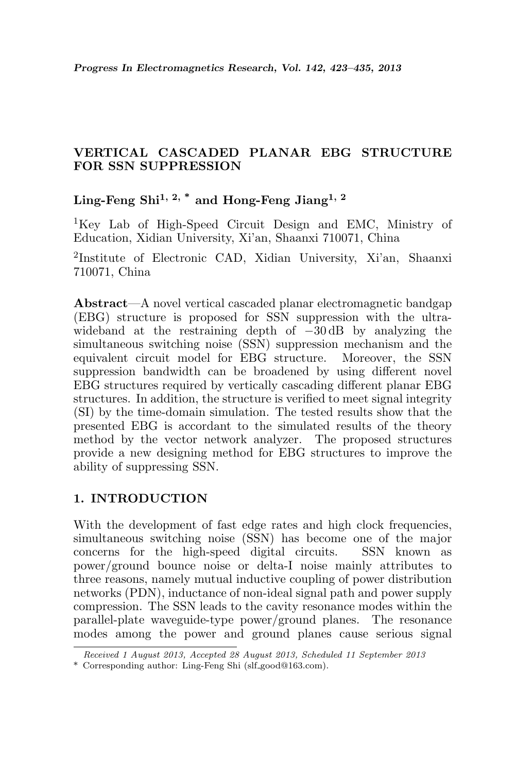# VERTICAL CASCADED PLANAR EBG STRUCTURE FOR SSN SUPPRESSION

Ling-Feng Shi<sup>1, 2, \*</sup> and Hong-Feng Jiang<sup>1, 2</sup>

<sup>1</sup>Key Lab of High-Speed Circuit Design and EMC, Ministry of Education, Xidian University, Xi'an, Shaanxi 710071, China

2 Institute of Electronic CAD, Xidian University, Xi'an, Shaanxi 710071, China

Abstract—A novel vertical cascaded planar electromagnetic bandgap (EBG) structure is proposed for SSN suppression with the ultrawideband at the restraining depth of −30 dB by analyzing the simultaneous switching noise (SSN) suppression mechanism and the equivalent circuit model for EBG structure. Moreover, the SSN suppression bandwidth can be broadened by using different novel EBG structures required by vertically cascading different planar EBG structures. In addition, the structure is verified to meet signal integrity (SI) by the time-domain simulation. The tested results show that the presented EBG is accordant to the simulated results of the theory method by the vector network analyzer. The proposed structures provide a new designing method for EBG structures to improve the ability of suppressing SSN.

## 1. INTRODUCTION

With the development of fast edge rates and high clock frequencies, simultaneous switching noise (SSN) has become one of the major concerns for the high-speed digital circuits. SSN known as power/ground bounce noise or delta-I noise mainly attributes to three reasons, namely mutual inductive coupling of power distribution networks (PDN), inductance of non-ideal signal path and power supply compression. The SSN leads to the cavity resonance modes within the parallel-plate waveguide-type power/ground planes. The resonance modes among the power and ground planes cause serious signal

Received 1 August 2013, Accepted 28 August 2013, Scheduled 11 September 2013

<sup>\*</sup> Corresponding author: Ling-Feng Shi (slf good@163.com).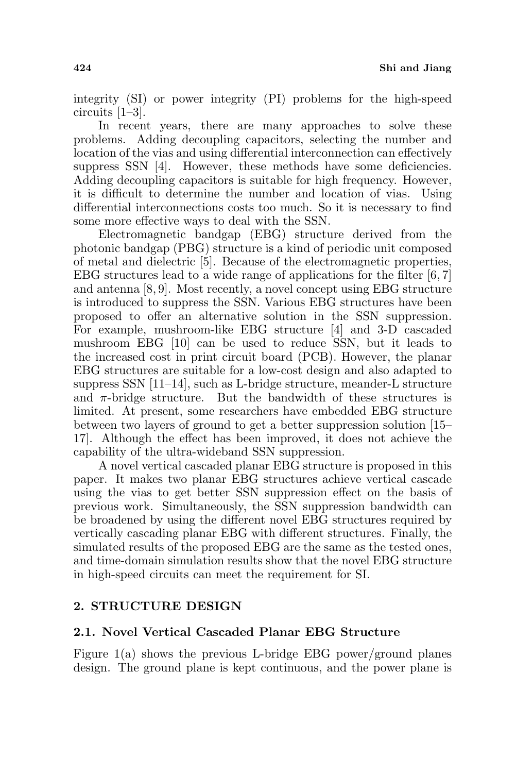integrity (SI) or power integrity (PI) problems for the high-speed circuits [1–3].

In recent years, there are many approaches to solve these problems. Adding decoupling capacitors, selecting the number and location of the vias and using differential interconnection can effectively suppress SSN [4]. However, these methods have some deficiencies. Adding decoupling capacitors is suitable for high frequency. However, it is difficult to determine the number and location of vias. Using differential interconnections costs too much. So it is necessary to find some more effective ways to deal with the SSN.

Electromagnetic bandgap (EBG) structure derived from the photonic bandgap (PBG) structure is a kind of periodic unit composed of metal and dielectric [5]. Because of the electromagnetic properties, EBG structures lead to a wide range of applications for the filter [6, 7] and antenna [8, 9]. Most recently, a novel concept using EBG structure is introduced to suppress the SSN. Various EBG structures have been proposed to offer an alternative solution in the SSN suppression. For example, mushroom-like EBG structure [4] and 3-D cascaded mushroom EBG [10] can be used to reduce SSN, but it leads to the increased cost in print circuit board (PCB). However, the planar EBG structures are suitable for a low-cost design and also adapted to suppress  $SSN$  [11–14], such as L-bridge structure, meander-L structure and  $\pi$ -bridge structure. But the bandwidth of these structures is limited. At present, some researchers have embedded EBG structure between two layers of ground to get a better suppression solution [15– 17]. Although the effect has been improved, it does not achieve the capability of the ultra-wideband SSN suppression.

A novel vertical cascaded planar EBG structure is proposed in this paper. It makes two planar EBG structures achieve vertical cascade using the vias to get better SSN suppression effect on the basis of previous work. Simultaneously, the SSN suppression bandwidth can be broadened by using the different novel EBG structures required by vertically cascading planar EBG with different structures. Finally, the simulated results of the proposed EBG are the same as the tested ones, and time-domain simulation results show that the novel EBG structure in high-speed circuits can meet the requirement for SI.

## 2. STRUCTURE DESIGN

## 2.1. Novel Vertical Cascaded Planar EBG Structure

Figure  $1(a)$  shows the previous L-bridge EBG power/ground planes design. The ground plane is kept continuous, and the power plane is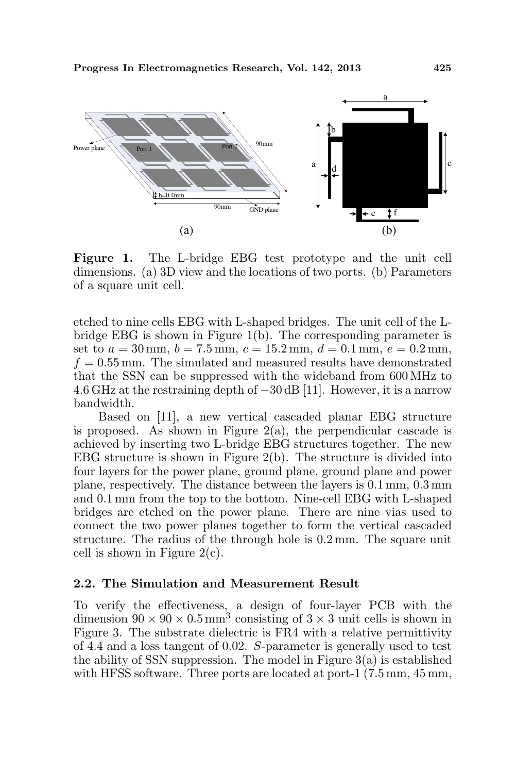

Figure 1. The L-bridge EBG test prototype and the unit cell dimensions. (a) 3D view and the locations of two ports. (b) Parameters of a square unit cell.

etched to nine cells EBG with L-shaped bridges. The unit cell of the Lbridge EBG is shown in Figure 1(b). The corresponding parameter is set to  $a = 30$  mm,  $b = 7.5$  mm,  $c = 15.2$  mm,  $d = 0.1$  mm,  $e = 0.2$  mm,  $f = 0.55$  mm. The simulated and measured results have demonstrated that the SSN can be suppressed with the wideband from 600 MHz to 4.6 GHz at the restraining depth of −30 dB [11]. However, it is a narrow bandwidth.

Based on [11], a new vertical cascaded planar EBG structure is proposed. As shown in Figure  $2(a)$ , the perpendicular cascade is achieved by inserting two L-bridge EBG structures together. The new EBG structure is shown in Figure 2(b). The structure is divided into four layers for the power plane, ground plane, ground plane and power plane, respectively. The distance between the layers is 0.1 mm, 0.3 mm and 0.1 mm from the top to the bottom. Nine-cell EBG with L-shaped bridges are etched on the power plane. There are nine vias used to connect the two power planes together to form the vertical cascaded structure. The radius of the through hole is 0.2 mm. The square unit cell is shown in Figure  $2(c)$ .

### 2.2. The Simulation and Measurement Result

To verify the effectiveness, a design of four-layer PCB with the dimension  $90 \times 90 \times 0.5$  mm<sup>3</sup> consisting of  $3 \times 3$  unit cells is shown in Figure 3. The substrate dielectric is FR4 with a relative permittivity of 4.4 and a loss tangent of 0.02. S-parameter is generally used to test the ability of SSN suppression. The model in Figure  $3(a)$  is established with HFSS software. Three ports are located at port-1  $(7.5 \text{ mm}, 45 \text{ mm})$ ,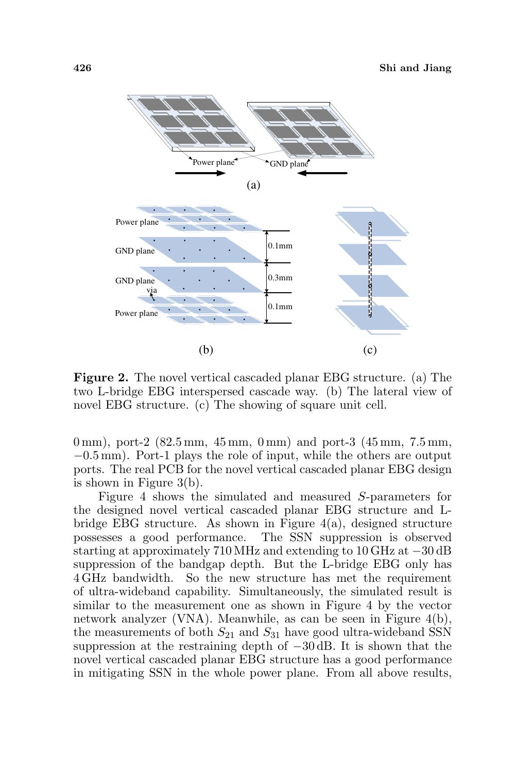

Figure 2. The novel vertical cascaded planar EBG structure. (a) The two L-bridge EBG interspersed cascade way. (b) The lateral view of novel EBG structure. (c) The showing of square unit cell.

0 mm), port-2 (82.5 mm, 45 mm, 0 mm) and port-3 (45 mm, 7.5 mm, −0.5 mm). Port-1 plays the role of input, while the others are output ports. The real PCB for the novel vertical cascaded planar EBG design is shown in Figure 3(b).

Figure 4 shows the simulated and measured S-parameters for the designed novel vertical cascaded planar EBG structure and Lbridge EBG structure. As shown in Figure 4(a), designed structure possesses a good performance. The SSN suppression is observed starting at approximately 710 MHz and extending to 10 GHz at −30 dB suppression of the bandgap depth. But the L-bridge EBG only has 4 GHz bandwidth. So the new structure has met the requirement of ultra-wideband capability. Simultaneously, the simulated result is similar to the measurement one as shown in Figure 4 by the vector network analyzer (VNA). Meanwhile, as can be seen in Figure 4(b), the measurements of both  $S_{21}$  and  $S_{31}$  have good ultra-wideband SSN suppression at the restraining depth of  $-30$  dB. It is shown that the novel vertical cascaded planar EBG structure has a good performance in mitigating SSN in the whole power plane. From all above results,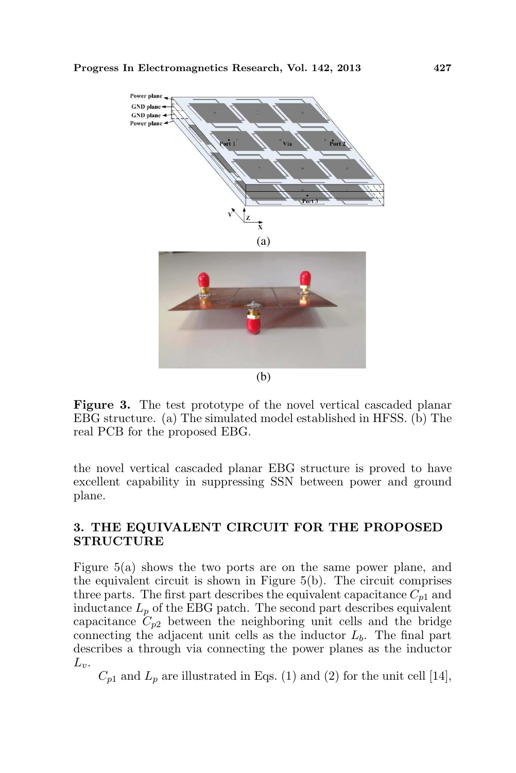

Figure 3. The test prototype of the novel vertical cascaded planar EBG structure. (a) The simulated model established in HFSS. (b) The real PCB for the proposed EBG.

the novel vertical cascaded planar EBG structure is proved to have excellent capability in suppressing SSN between power and ground plane.

## 3. THE EQUIVALENT CIRCUIT FOR THE PROPOSED STRUCTURE

Figure 5(a) shows the two ports are on the same power plane, and the equivalent circuit is shown in Figure 5(b). The circuit comprises three parts. The first part describes the equivalent capacitance  $C_{p1}$  and inductance  $L_p$  of the EBG patch. The second part describes equivalent capacitance  $C_{p2}$  between the neighboring unit cells and the bridge connecting the adjacent unit cells as the inductor  $L<sub>b</sub>$ . The final part describes a through via connecting the power planes as the inductor  $L_v$ .

 $C_{p1}$  and  $L_p$  are illustrated in Eqs. (1) and (2) for the unit cell [14],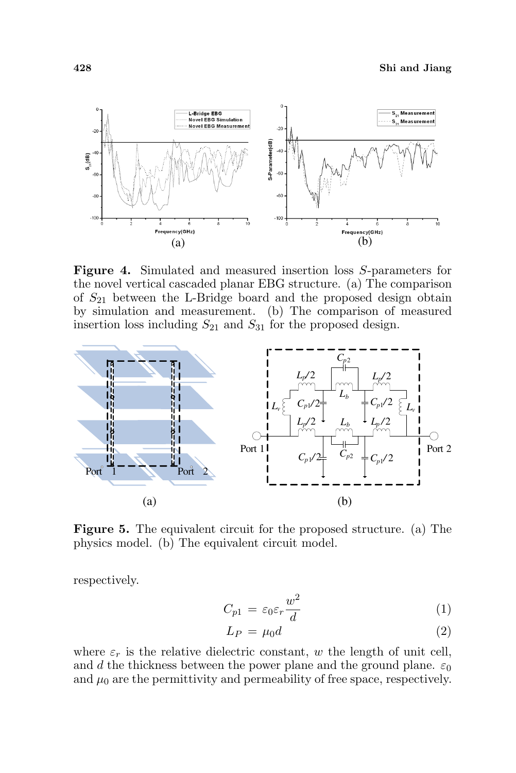

Figure 4. Simulated and measured insertion loss S-parameters for the novel vertical cascaded planar EBG structure. (a) The comparison of  $S_{21}$  between the L-Bridge board and the proposed design obtain by simulation and measurement. (b) The comparison of measured insertion loss including  $S_{21}$  and  $S_{31}$  for the proposed design.



Figure 5. The equivalent circuit for the proposed structure. (a) The physics model. (b) The equivalent circuit model.

respectively.

$$
C_{p1} = \varepsilon_0 \varepsilon_r \frac{w^2}{d} \tag{1}
$$

$$
L_P = \mu_0 d \tag{2}
$$

where  $\varepsilon_r$  is the relative dielectric constant, w the length of unit cell, and d the thickness between the power plane and the ground plane.  $\varepsilon_0$ and  $\mu_0$  are the permittivity and permeability of free space, respectively.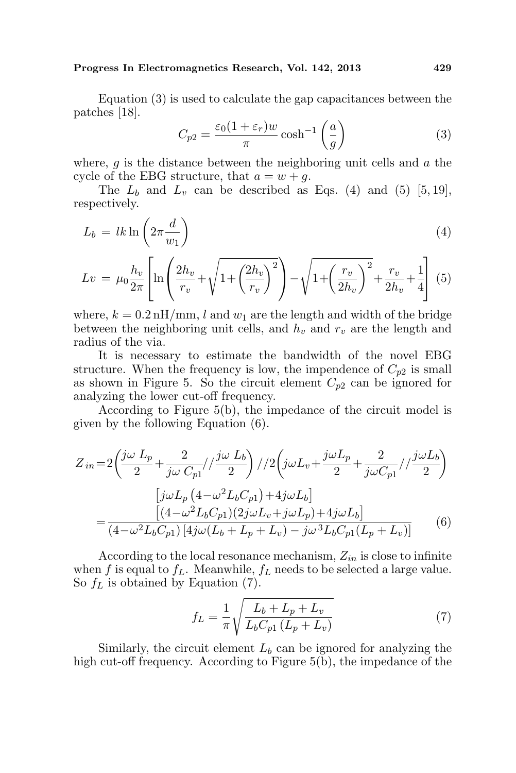#### Progress In Electromagnetics Research, Vol. 142, 2013 429

Equation (3) is used to calculate the gap capacitances between the patches [18].  $\overline{a}$  $\mathbf{r}$ 

$$
C_{p2} = \frac{\varepsilon_0 (1 + \varepsilon_r) w}{\pi} \cosh^{-1} \left(\frac{a}{g}\right)
$$
 (3)

where,  $g$  is the distance between the neighboring unit cells and  $a$  the cycle of the EBG structure, that  $a = w + q$ .

The  $L_b$  and  $L_v$  can be described as Eqs. (4) and (5) [5, 19], respectively.

$$
L_b = lk \ln \left( 2\pi \frac{d}{w_1} \right) \tag{4}
$$

$$
Lv = \mu_0 \frac{h_v}{2\pi} \left[ \ln \left( \frac{2h_v}{r_v} + \sqrt{1 + \left( \frac{2h_v}{r_v} \right)^2} \right) - \sqrt{1 + \left( \frac{r_v}{2h_v} \right)^2} + \frac{r_v}{2h_v} + \frac{1}{4} \right] \tag{5}
$$

where,  $k = 0.2 \text{ nH/mm}$ , l and  $w_1$  are the length and width of the bridge between the neighboring unit cells, and  $h_v$  and  $r_v$  are the length and radius of the via.

It is necessary to estimate the bandwidth of the novel EBG structure. When the frequency is low, the impendence of  $C_{p2}$  is small as shown in Figure 5. So the circuit element  $C_{p2}$  can be ignored for analyzing the lower cut-off frequency.

According to Figure 5(b), the impedance of the circuit model is given by the following Equation (6).

$$
Z_{in} = 2\left(\frac{j\omega L_p}{2} + \frac{2}{j\omega C_{p1}}//\frac{j\omega L_b}{2}\right) / 2\left(j\omega L_v + \frac{j\omega L_p}{2} + \frac{2}{j\omega C_{p1}}//\frac{j\omega L_b}{2}\right)
$$

$$
= \frac{\left[j\omega L_p \left(4 - \omega^2 L_b C_{p1}\right) + 4j\omega L_b\right]}{\left(4 - \omega^2 L_b C_{p1}\right)\left(2j\omega L_v + j\omega L_p\right) + 4j\omega L_b\right]}
$$

$$
= \frac{\left[(4 - \omega^2 L_b C_{p1})\left(4j\omega (L_b + L_p + L_v) - j\omega^3 L_b C_{p1} (L_p + L_v)\right]}{\left(4 - \omega^2 L_b C_{p1}\right)\left[4j\omega (L_b + L_p + L_v) - j\omega^3 L_b C_{p1} (L_p + L_v)\right]} \tag{6}
$$

According to the local resonance mechanism,  $Z_{in}$  is close to infinite when f is equal to  $f_L$ . Meanwhile,  $f_L$  needs to be selected a large value. So  $f_L$  is obtained by Equation (7).

$$
f_L = \frac{1}{\pi} \sqrt{\frac{L_b + L_p + L_v}{L_b C_{p1} (L_p + L_v)}}
$$
(7)

Similarly, the circuit element  $L<sub>b</sub>$  can be ignored for analyzing the high cut-off frequency. According to Figure 5(b), the impedance of the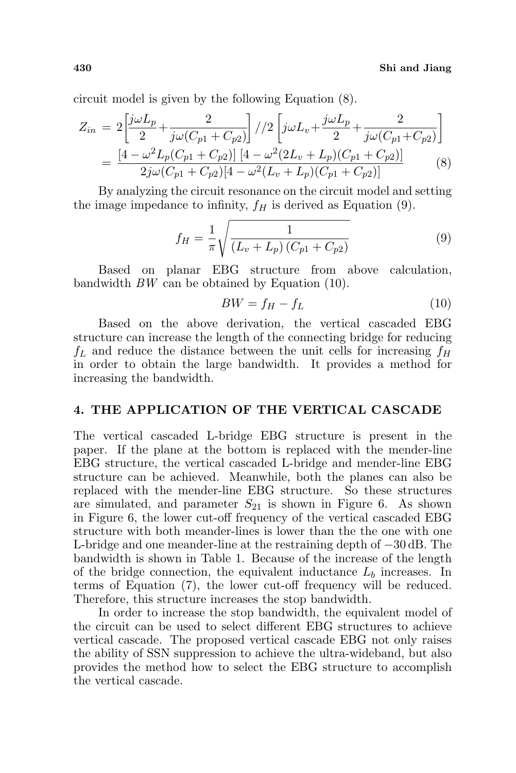circuit model is given by the following Equation (8).

$$
Z_{in} = 2\left[\frac{j\omega L_p}{2} + \frac{2}{j\omega(C_{p1} + C_{p2})}\right] / 2\left[j\omega L_v + \frac{j\omega L_p}{2} + \frac{2}{j\omega(C_{p1} + C_{p2})}\right]
$$
  
= 
$$
\frac{[4 - \omega^2 L_p(C_{p1} + C_{p2})] [4 - \omega^2 (2L_v + L_p)(C_{p1} + C_{p2})]}{2j\omega(C_{p1} + C_{p2})[4 - \omega^2 (L_v + L_p)(C_{p1} + C_{p2})]}
$$
(8)

By analyzing the circuit resonance on the circuit model and setting the image impedance to infinity,  $f_H$  is derived as Equation (9).

$$
f_H = \frac{1}{\pi} \sqrt{\frac{1}{(L_v + L_p)(C_{p1} + C_{p2})}}
$$
(9)

Based on planar EBG structure from above calculation, bandwidth BW can be obtained by Equation (10).

$$
BW = f_H - f_L \tag{10}
$$

Based on the above derivation, the vertical cascaded EBG structure can increase the length of the connecting bridge for reducing  $f_L$  and reduce the distance between the unit cells for increasing  $f_H$ in order to obtain the large bandwidth. It provides a method for increasing the bandwidth.

#### 4. THE APPLICATION OF THE VERTICAL CASCADE

The vertical cascaded L-bridge EBG structure is present in the paper. If the plane at the bottom is replaced with the mender-line EBG structure, the vertical cascaded L-bridge and mender-line EBG structure can be achieved. Meanwhile, both the planes can also be replaced with the mender-line EBG structure. So these structures are simulated, and parameter  $S_{21}$  is shown in Figure 6. As shown in Figure 6, the lower cut-off frequency of the vertical cascaded EBG structure with both meander-lines is lower than the the one with one L-bridge and one meander-line at the restraining depth of −30 dB. The bandwidth is shown in Table 1. Because of the increase of the length of the bridge connection, the equivalent inductance  $L<sub>b</sub>$  increases. In terms of Equation (7), the lower cut-off frequency will be reduced. Therefore, this structure increases the stop bandwidth.

In order to increase the stop bandwidth, the equivalent model of the circuit can be used to select different EBG structures to achieve vertical cascade. The proposed vertical cascade EBG not only raises the ability of SSN suppression to achieve the ultra-wideband, but also provides the method how to select the EBG structure to accomplish the vertical cascade.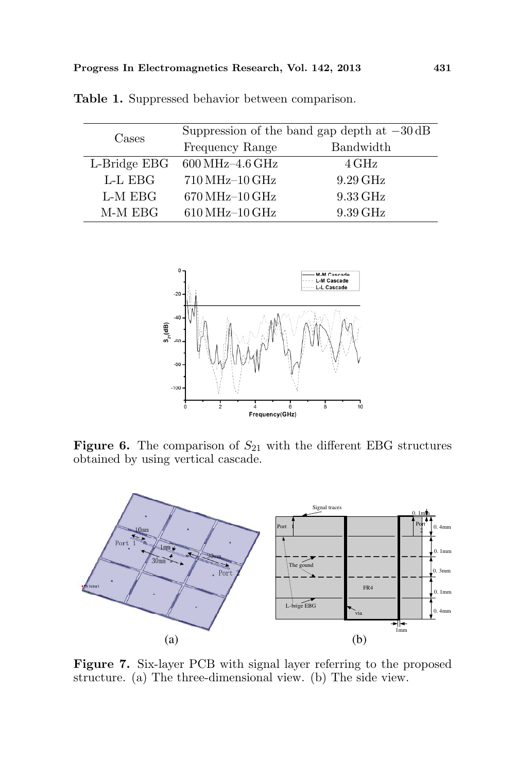| Cases        | Suppression of the band gap depth at $-30 \text{ dB}$ |                   |
|--------------|-------------------------------------------------------|-------------------|
|              | Frequency Range                                       | Bandwidth         |
| L-Bridge EBG | $600\,\rm MHz$ – $4.6\,\rm GHz$                       | $4\,\mathrm{GHz}$ |
| L-L EBG      | $710\,\mathrm{MHz}{-10\,\mathrm{GHz}}$                | 9.29 GHz          |
| L-M EBG      | 670 MHz-10 GHz                                        | 9.33 GHz          |
| M-M EBG      | $610\,\mathrm{MHz}\text{-}10\,\mathrm{GHz}$           | 9.39 GHz          |

Table 1. Suppressed behavior between comparison.



Figure 6. The comparison of  $S_{21}$  with the different EBG structures obtained by using vertical cascade.



Figure 7. Six-layer PCB with signal layer referring to the proposed structure. (a) The three-dimensional view. (b) The side view.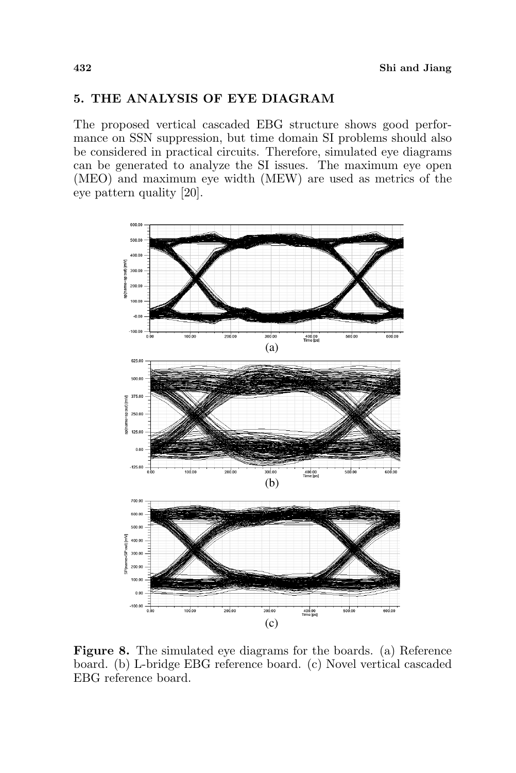### 5. THE ANALYSIS OF EYE DIAGRAM

The proposed vertical cascaded EBG structure shows good performance on SSN suppression, but time domain SI problems should also be considered in practical circuits. Therefore, simulated eye diagrams can be generated to analyze the SI issues. The maximum eye open (MEO) and maximum eye width (MEW) are used as metrics of the eye pattern quality [20].



Figure 8. The simulated eye diagrams for the boards. (a) Reference board. (b) L-bridge EBG reference board. (c) Novel vertical cascaded EBG reference board.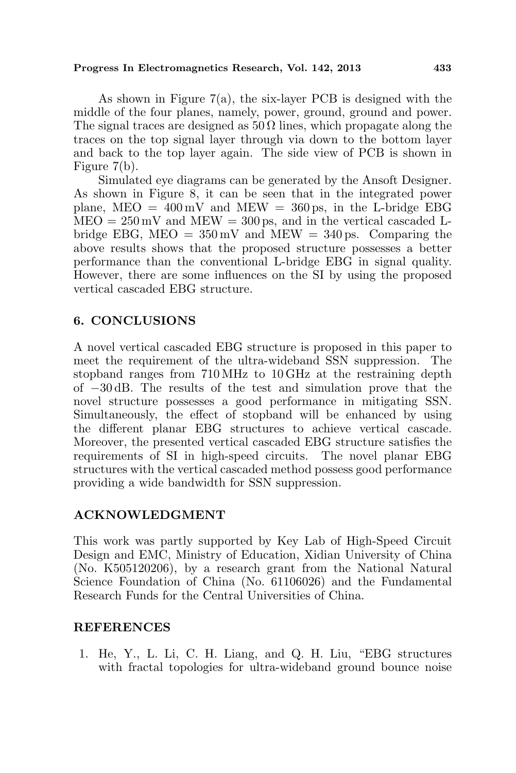#### Progress In Electromagnetics Research, Vol. 142, 2013 433

As shown in Figure 7(a), the six-layer PCB is designed with the middle of the four planes, namely, power, ground, ground and power. The signal traces are designed as  $50 \Omega$  lines, which propagate along the traces on the top signal layer through via down to the bottom layer and back to the top layer again. The side view of PCB is shown in Figure 7(b).

Simulated eye diagrams can be generated by the Ansoft Designer. As shown in Figure 8, it can be seen that in the integrated power plane,  $\text{MED} = 400 \,\text{mV}$  and  $\text{MEM} = 360 \,\text{ps}$ , in the L-bridge EBG  $MEO = 250 \,\text{mV}$  and  $MEW = 300 \,\text{ps}$ , and in the vertical cascaded Lbridge EBG,  $MEO = 350 \,\text{mV}$  and  $MEW = 340 \,\text{ps}$ . Comparing the above results shows that the proposed structure possesses a better performance than the conventional L-bridge EBG in signal quality. However, there are some influences on the SI by using the proposed vertical cascaded EBG structure.

## 6. CONCLUSIONS

A novel vertical cascaded EBG structure is proposed in this paper to meet the requirement of the ultra-wideband SSN suppression. The stopband ranges from 710 MHz to 10 GHz at the restraining depth of −30 dB. The results of the test and simulation prove that the novel structure possesses a good performance in mitigating SSN. Simultaneously, the effect of stopband will be enhanced by using the different planar EBG structures to achieve vertical cascade. Moreover, the presented vertical cascaded EBG structure satisfies the requirements of SI in high-speed circuits. The novel planar EBG structures with the vertical cascaded method possess good performance providing a wide bandwidth for SSN suppression.

### ACKNOWLEDGMENT

This work was partly supported by Key Lab of High-Speed Circuit Design and EMC, Ministry of Education, Xidian University of China (No. K505120206), by a research grant from the National Natural Science Foundation of China (No. 61106026) and the Fundamental Research Funds for the Central Universities of China.

### REFERENCES

1. He, Y., L. Li, C. H. Liang, and Q. H. Liu, "EBG structures with fractal topologies for ultra-wideband ground bounce noise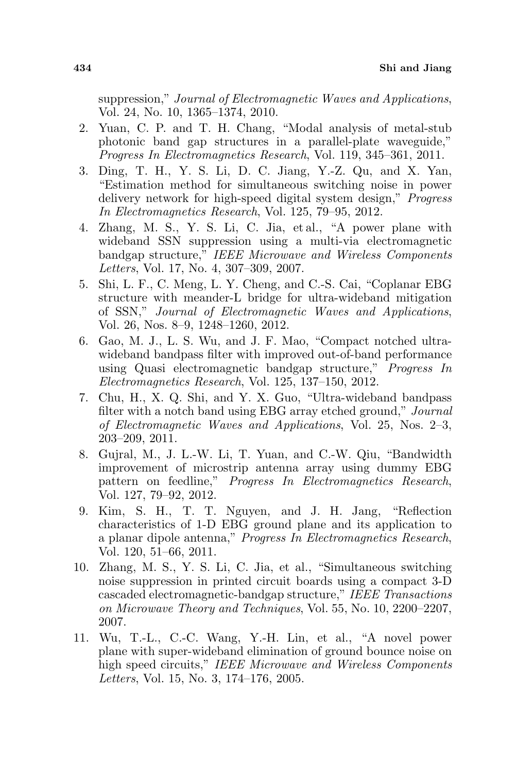suppression," Journal of Electromagnetic Waves and Applications, Vol. 24, No. 10, 1365–1374, 2010.

- 2. Yuan, C. P. and T. H. Chang, "Modal analysis of metal-stub photonic band gap structures in a parallel-plate waveguide," Progress In Electromagnetics Research, Vol. 119, 345–361, 2011.
- 3. Ding, T. H., Y. S. Li, D. C. Jiang, Y.-Z. Qu, and X. Yan, "Estimation method for simultaneous switching noise in power delivery network for high-speed digital system design," Progress In Electromagnetics Research, Vol. 125, 79–95, 2012.
- 4. Zhang, M. S., Y. S. Li, C. Jia, et al., "A power plane with wideband SSN suppression using a multi-via electromagnetic bandgap structure," IEEE Microwave and Wireless Components Letters, Vol. 17, No. 4, 307–309, 2007.
- 5. Shi, L. F., C. Meng, L. Y. Cheng, and C.-S. Cai, "Coplanar EBG structure with meander-L bridge for ultra-wideband mitigation of SSN," Journal of Electromagnetic Waves and Applications, Vol. 26, Nos. 8–9, 1248–1260, 2012.
- 6. Gao, M. J., L. S. Wu, and J. F. Mao, "Compact notched ultrawideband bandpass filter with improved out-of-band performance using Quasi electromagnetic bandgap structure," Progress In Electromagnetics Research, Vol. 125, 137–150, 2012.
- 7. Chu, H., X. Q. Shi, and Y. X. Guo, "Ultra-wideband bandpass filter with a notch band using EBG array etched ground," Journal of Electromagnetic Waves and Applications, Vol. 25, Nos. 2–3, 203–209, 2011.
- 8. Gujral, M., J. L.-W. Li, T. Yuan, and C.-W. Qiu, "Bandwidth improvement of microstrip antenna array using dummy EBG pattern on feedline," Progress In Electromagnetics Research, Vol. 127, 79–92, 2012.
- 9. Kim, S. H., T. T. Nguyen, and J. H. Jang, "Reflection characteristics of 1-D EBG ground plane and its application to a planar dipole antenna," Progress In Electromagnetics Research, Vol. 120, 51–66, 2011.
- 10. Zhang, M. S., Y. S. Li, C. Jia, et al., "Simultaneous switching noise suppression in printed circuit boards using a compact 3-D cascaded electromagnetic-bandgap structure," IEEE Transactions on Microwave Theory and Techniques, Vol. 55, No. 10, 2200–2207, 2007.
- 11. Wu, T.-L., C.-C. Wang, Y.-H. Lin, et al., "A novel power plane with super-wideband elimination of ground bounce noise on high speed circuits," IEEE Microwave and Wireless Components Letters, Vol. 15, No. 3, 174–176, 2005.